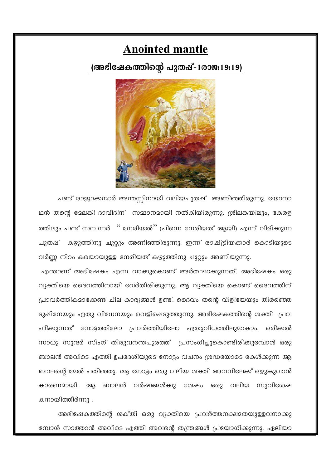# **Anointed mantle**

### (അഭിഷേകത്തിന്റെ പുതഷ്–1രാജ:19:19)



പണ്ട് രാജാക്കന്മാർ അന്തസ്സിനായി വലിയപുതപ്പ് അണിഞ്ഞിരുന്നു. യോനാ ഥൻ തന്റെ മേലങ്കി ദാവീദിന് സമ്മാനമായി നൽകിയിരുന്നു. ശ്രീലങ്കയിലും, കേരള ത്തിലും പണ്ട് സമ്പന്നർ " നേരിയൽ" (പിന്നെ നേരിയത് ആയി) എന്ന് വിളിക്കുന്ന പുതപ്പ് കഴുത്തിനു ചുറ്റും അണിഞ്ഞിരുന്നു. ഇന്ന് രാഷ്ട്രീയക്കാർ കൊടിയുടെ വർണ്ണ നിറം കരയായുള്ള നേരിയത് കഴുത്തിനു ചുറ്റും അണിയുന്നു.

എന്താണ് അഭിഷേകം എന്ന വാക്കുകൊണ്ട് അർത്ഥമാക്കുന്നത്. അഭിഷേകം ഒരു വ്യക്തിയെ ദൈവത്തിനായി വേർതിരിക്കുന്നു. ആ വ്യക്തിയെ കൊണ്ട് ദൈവത്തിന് പ്രാവർത്തികമാക്കേണ്ട ചില കാര്യങ്ങൾ ഉണ്ട്. ദൈവം തന്റെ വിളിയേയും തിരഞ്ഞെ ടുഷിനേയും ഏതു വിധേനയും വെളിഷെടുത്തുന്നു. അഭിഷേകത്തിന്റെ ശക്തി പ്രവ ഹിക്കുന്നത് നോട്ടത്തിലോ പ്രവർത്തിയിലോ ഏതുവിധത്തിലുമാകാം. ഒരിക്കൽ സാധു സുന്ദർ സിംഗ് തിരുവനന്തപുരത്ത് പ്രസംഗിച്ചുകൊണ്ടിരിക്കുമ്പോൾ ഒരു ബാലൻ അവിടെ എത്തി ഉപദേശിയുടെ നോട്ടം വചനം ശ്രദ്ധയോടെ കേൾക്കുന്ന ആ ബാലന്റെ മേൽ പതിഞ്ഞു. ആ നോട്ടം ഒരു വലിയ ശക്തി അവനിലേക്ക് ഒഴുകുവാൻ കാരണമായി. ആ ബാലൻ വർഷങ്ങൾക്കു ശേഷം ഒരു വലിയ സുവിശേഷ കനായിത്തീർന്നു .

അഭിഷേകത്തിന്റെ ശക്തി ഒരു വ്യക്തിയെ പ്രവർത്തനക്ഷമതയുള്ളവനാക്കു മ്പോൾ സാത്താൻ അവിടെ എത്തി അവന്റെ തന്ത്രങ്ങൾ പ്രയോഗിക്കുന്നു. ഏലിയാ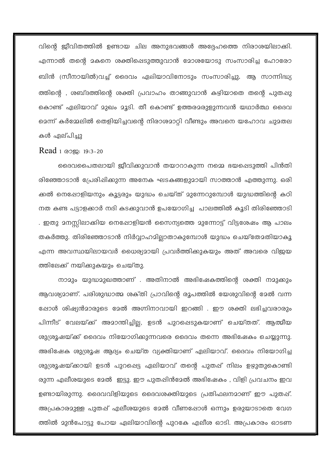വിന്റെ ജീവിതത്തിൽ ഉണ്ടായ ചില അനുഭവങ്ങൾ അദ്ദേഹത്തെ നിരാശയിലാക്കി. എന്നാൽ തന്റെ മകനെ ശക്തിപ്പെടുത്തുവാൻ മോശയോടു സംസാരിച്ച ഹോരോ ബിൻ (സീനായിൽ)വച്ച് ദൈവം ഏലിയാവിനോടും സംസാരിച്ചു. ആ സാന്നിദ്ധ്യ ത്തിന്റെ , ശബ്ദത്തിന്റെ ശക്തി പ്രവാഹം താങ്ങുവാൻ കഴിയാതെ തന്റെ പുതപ്പു കൊണ്ട് ഏലിയാവ് മുഖം മൂടി. തീ കൊണ്ട് ഉത്തരമരുളുന്നവൻ യഥാർത്ഥ ദൈവ മെന്ന് കർമ്മേലിൽ തെളിയിച്ചവന്റെ നിരാശമാറ്റി വീണ്ടും അവനെ യഹോവ ചുമതല കൾ ഏല്പിച്ചു

### Read 1 @Ogg: 19:3-20

ദൈവപൈതലായി ജീവിക്കുവാൻ തയാറാകുന്ന നമ്മെ ഭയപ്പെടുത്തി പിൻതി രിഞ്ഞോടാൻ പ്രേരിഷിക്കുന്ന അനേക ഘടകങ്ങളുമായി സാത്താൻ എത്തുന്നു. ഒരി ക്കൽ നെഷോളിയനും കൂട്ടരും യുദ്ധം ചെയ്ത് മുന്നേറുമ്പോൾ യുദ്ധത്തിന്റെ കഠി നത കണ്ട പട്ടാളക്കാർ നദി കടക്കുവാൻ ഉപയോഗിച്ച പാലത്തിൽ കൂടി തിരിഞ്ഞോടി . ഇതു മനസ്സിലാക്കിയ നെഷോളിയൻ സൈന്യത്തെ മുന്നോട്ട് വിട്ടശേഷം ആ പാലം തകർത്തു. തിരിഞ്ഞോടാൻ നിർവ്വാഹമില്ലാതാകുമ്പോൾ യുദ്ധം ചെയ്തേമതിയാകൂ എന്ന അവസ്ഥയിലായവർ ധൈര്യമായി പ്രവർത്തിക്കുകയും അത് അവരെ വിജയ ത്തിലേക്ക് നയിക്കുകയും ചെയ്തു.

നാമും യുദ്ധമുഖത്താണ് . അതിനാൽ അഭിഷേകത്തിന്റെ ശക്തി നമുക്കും ആവശ്യമാണ്. പരിശുദ്ധാത്മ ശക്തി പ്രാവിന്റെ രൂപത്തിൽ യേശുവിന്റെ മേൽ വന്ന ഷോൾ ശിഷ്യൻമാരുടെ മേൽ അഗ്നിനാവായി ഇറങ്ങി . ഈ ശക്തി ലഭിച്ചവരാരും പിന്നീട് വേലയ്ക്ക് അമാന്തിച്ചില്ല, ഉടൻ പുറപ്പെടുകയാണ് ചെയ്തത്. ആത്മീയ ശുശ്രൂഷയ്ക്ക് ദൈവം നിയോഗിക്കുന്നവരെ ദൈവം തന്നെ അഭിഷേകം ചെയ്യുന്നു. അഭിഷേക ശുശ്രൂഷ ആദ്യം ചെയ്ത വ്യക്തിയാണ് ഏലിയാവ്. ദൈവം നിയോഗിച്ച ശുശ്രൂഷയ്ക്കായി ഉടൻ പുറപ്പെട്ട ഏലിയാവ് തന്റെ പുതപ്പ് നിലം ഉഴുതുകൊണ്ടി രുന്ന എലീശയുടെ മേൽ ഇട്ടു. ഈ പുതപ്പിൻമേൽ അഭിഷേകം , വിളി പ്രവചനം ഇവ ഉണ്ടായിരുന്നു. ദൈവവിളിയുടെ ദൈവശക്തിയുടെ പ്രതിഫലനമാണ് ഈ പുതഷ്. അപ്രകാരമുള്ള പുതഷ് എലീശയുടെ മേൽ വീണഷോൾ ഒന്നും ഉരുയാടാതെ വേഗ ത്തിൽ മുൻപോട്ടു പോയ ഏലിയാവിന്റെ പുറകേ എലീശ ഓടി. അപ്രകാരം ഓടണ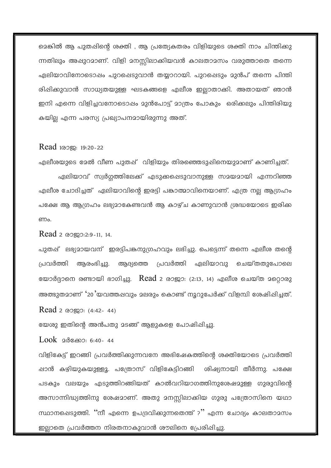മെങ്കിൽ ആ പുതപ്പിന്റെ ശക്തി , ആ പ്രത്യേകതരം വിളിയുടെ ശക്തി നാം ചിന്തിക്കു ന്നതിലും അഷുറമാണ്. വിളി മനസ്സിലാക്കിയവൻ കാലതാമസം വരുത്താതെ തന്നെ ഏലിയാവിനോടൊഷം പുറപ്പെടുവാൻ തയ്യാറായി. പുറഷെടും മുൻപ് തന്നെ പിന്തി രിഷിക്കുവാൻ സാധ്യതയുള്ള ഘടകങ്ങളെ എലീശ ഇല്ലാതാക്കി. അതായത് ഞാൻ ഇനി എന്നെ വിളിച്ചവനോടൊഷം മുൻപോട്ട് മാത്രം പോകും ഒരിക്കലും പിന്തിരിയു കയില്ല എന്ന പരസ്യ പ്രഖ്യാപനമായിരുന്നു അത്.

#### Read 100 sq: 19:20-22

എലീശയുടെ മേൽ വീണ പുതഷ് വിളിയും തിരഞ്ഞെടുഷിനെയുമാണ് കാണിച്ചത്.

ഏലിയാവ് സ്വർഗ്ഗത്തിലേക്ക് എടുക്കപ്പെടുവാനുള്ള സമയമായി എന്നറിഞ്ഞ എലീശ ചോദിച്ചത് ഏലിയാവിന്റെ ഇരട്ടി പങ്കാത്മാവിനെയാണ്. എത്ര നല്ല ആഗ്രഹം പക്ഷേ ആ ആഗ്രഹം ലഭ്യമാകേണ്ടവൻ ആ കാഴ്ച കാണുവാൻ ശ്രദ്ധയോടെ ഇരിക്ക **ണം.** 

Read 2 @Oggo:2:9-11, 14.

പുതഷ് ലഭ്യമായവന് ഇരട്ടിപങ്കനുഗ്രഹവും ലഭിച്ചു. പെട്ടെന്ന് തന്നെ എലീശ തന്റെ ആദ്യത്തെ പ്രവർത്തി ഏലിയാവു പ്രവർത്തി ആരംഭിച്ചു. ചെയ്തതുപോലെ യോർദ്ദാനെ രണ്ടായി ഭാഗിച്ചു. Read 2 രാജാ: (2:13, 14) എലീശ ചെയ്ത മറ്റൊരു അത്ഭുതമാണ് '20'യവത്തഷവും മലരും കൊണ്ട് നൂറുപേർക്ക് വിളമ്പി ശേഷിഷിച്ചത്.

Read 2 രാജാ:  $(4:42-44)$ 

യേശു ഇതിന്റെ അൻപതു മടങ്ങ് ആളുകളെ പോഷിഷിച്ചു.

Look 2d & 0:40-44

വിളികേട്ട് ഇറങ്ങി പ്രവർത്തിക്കുന്നവനേ അഭിഷേകത്തിന്റെ ശക്തിയോടെ പ്രവർത്തി ഷാൻ കഴിയുകയുള്ളൂ. പത്രോസ് വിളികേട്ടിറങ്ങി ശിഷ്യനായി തീർന്നു. പക്ഷേ പടകും വലയും എടുത്തിറങ്ങിയത് കാൽവറിയാഗത്തിനുശേഷമുള്ള ഗുരുവിന്റെ അസാന്നിദ്ധ്യത്തിനു ശേഷമാണ്. അതു മനസ്സിലാക്കിയ ഗുരു പത്രോസിനെ യഥാ സ്ഥാനപ്പെടുത്തി. ''നീ എന്നെ ഉപദ്രവിക്കുന്നതെന്ത് ?'' എന്ന ചോദ്യം കാലതാമസം ഇല്ലാതെ പ്രവർത്തന നിരതനാകുവാൻ ശൗലിനെ പ്രേരിഷിച്ചു.